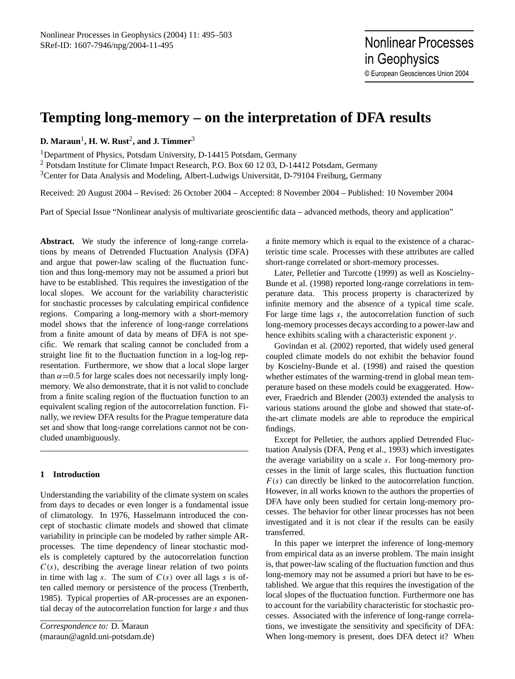# **Tempting long-memory – on the interpretation of DFA results**

**D. Maraun**<sup>1</sup> **, H. W. Rust**<sup>2</sup> **, and J. Timmer**<sup>3</sup>

<sup>1</sup>Department of Physics, Potsdam University, D-14415 Potsdam, Germany

<sup>2</sup> Potsdam Institute for Climate Impact Research, P.O. Box 60 12 03, D-14412 Potsdam, Germany <sup>3</sup>Center for Data Analysis and Modeling, Albert-Ludwigs Universität, D-79104 Freiburg, Germany

Received: 20 August 2004 – Revised: 26 October 2004 – Accepted: 8 November 2004 – Published: 10 November 2004

Part of Special Issue "Nonlinear analysis of multivariate geoscientific data – advanced methods, theory and application"

**Abstract.** We study the inference of long-range correlations by means of Detrended Fluctuation Analysis (DFA) and argue that power-law scaling of the fluctuation function and thus long-memory may not be assumed a priori but have to be established. This requires the investigation of the local slopes. We account for the variability characteristic for stochastic processes by calculating empirical confidence regions. Comparing a long-memory with a short-memory model shows that the inference of long-range correlations from a finite amount of data by means of DFA is not specific. We remark that scaling cannot be concluded from a straight line fit to the fluctuation function in a log-log representation. Furthermore, we show that a local slope larger than  $\alpha$ =0.5 for large scales does not necessarily imply longmemory. We also demonstrate, that it is not valid to conclude from a finite scaling region of the fluctuation function to an equivalent scaling region of the autocorrelation function. Finally, we review DFA results for the Prague temperature data set and show that long-range correlations cannot not be concluded unambiguously.

### **1 Introduction**

Understanding the variability of the climate system on scales from days to decades or even longer is a fundamental issue of climatology. In 1976, [Hasselmann](#page-7-0) introduced the concept of stochastic climate models and showed that climate variability in principle can be modeled by rather simple ARprocesses. The time dependency of linear stochastic models is completely captured by the autocorrelation function  $C(s)$ , describing the average linear relation of two points in time with lag s. The sum of  $C(s)$  over all lags s is often called memory or persistence of the process [\(Trenberth,](#page-8-0) [1985\)](#page-8-0). Typical properties of AR-processes are an exponential decay of the autocorrelation function for large s and thus

<span id="page-0-0"></span>*Correspondence to:* D. Maraun (maraun@agnld.uni-potsdam.de) a finite memory which is equal to the existence of a characteristic time scale. Processes with these attributes are called short-range correlated or short-memory processes.

Later, [Pelletier and Turcotte](#page-7-1) [\(1999\)](#page-7-1) as well as [Koscielny-](#page-7-2)[Bunde et al.](#page-7-2) [\(1998\)](#page-7-2) reported long-range correlations in temperature data. This process property is characterized by infinite memory and the absence of a typical time scale. For large time lags s, the autocorrelation function of such long-memory processes decays according to a power-law and hence exhibits scaling with a characteristic exponent  $\gamma$ .

[Govindan et al.](#page-7-3) [\(2002\)](#page-7-3) reported, that widely used general coupled climate models do not exhibit the behavior found by [Koscielny-Bunde et al.](#page-7-2) [\(1998\)](#page-7-2) and raised the question whether estimates of the warming-trend in global mean temperature based on these models could be exaggerated. However, [Fraedrich and Blender](#page-7-4) [\(2003\)](#page-7-4) extended the analysis to various stations around the globe and showed that state-ofthe-art climate models are able to reproduce the empirical findings.

Except for Pelletier, the authors applied Detrended Fluctuation Analysis (DFA, [Peng et al.,](#page-7-5) [1993\)](#page-7-5) which investigates the average variability on a scale s. For long-memory processes in the limit of large scales, this fluctuation function  $F(s)$  can directly be linked to the autocorrelation function. However, in all works known to the authors the properties of DFA have only been studied for certain long-memory processes. The behavior for other linear processes has not been investigated and it is not clear if the results can be easily transferred.

In this paper we interpret the inference of long-memory from empirical data as an inverse problem. The main insight is, that power-law scaling of the fluctuation function and thus long-memory may not be assumed a priori but have to be established. We argue that this requires the investigation of the local slopes of the fluctuation function. Furthermore one has to account for the variability characteristic for stochastic processes. Associated with the inference of long-range correlations, we investigate the sensitivity and specificity of DFA: When long-memory is present, does DFA detect it? When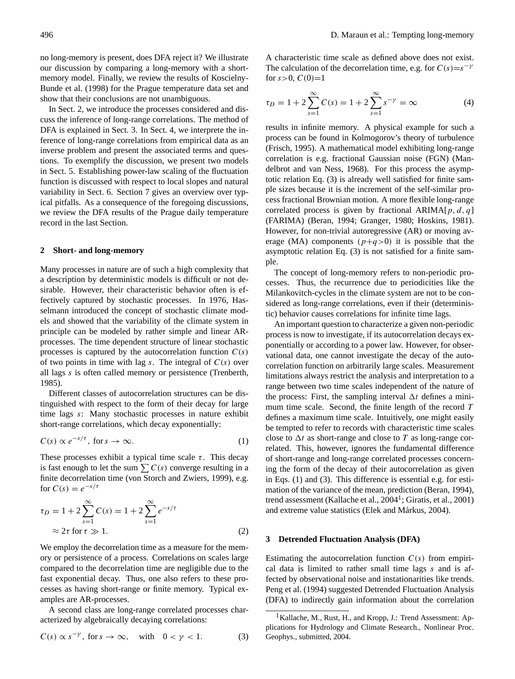no long-memory is present, does DFA reject it? We illustrate our discussion by comparing a long-memory with a shortmemory model. Finally, we review the results of [Koscielny-](#page-7-2)[Bunde et al.](#page-7-2) [\(1998\)](#page-7-2) for the Prague temperature data set and show that their conclusions are not unambiguous.

In Sect. [2,](#page-1-0) we introduce the processes considered and discuss the inference of long-range correlations. The method of DFA is explained in Sect. [3.](#page-1-1) In Sect. [4,](#page-2-0) we interprete the inference of long-range correlations from empirical data as an inverse problem and present the associated terms and questions. To exemplify the discussion, we present two models in Sect. [5.](#page-2-1) Establishing power-law scaling of the fluctuation function is discussed with respect to local slopes and natural variability in Sect. [6.](#page-3-0) Section [7](#page-4-0) gives an overview over typical pitfalls. As a consequence of the foregoing discussions, we review the DFA results of the Prague daily temperature record in the last Section.

### <span id="page-1-0"></span>**2 Short- and long-memory**

Many processes in nature are of such a high complexity that a description by deterministic models is difficult or not desirable. However, their characteristic behavior often is effectively captured by stochastic processes. In 1976, [Has](#page-7-0)[selmann](#page-7-0) introduced the concept of stochastic climate models and showed that the variability of the climate system in principle can be modeled by rather simple and linear ARprocesses. The time dependent structure of linear stochastic processes is captured by the autocorrelation function  $C(s)$ of two points in time with lag s. The integral of  $C(s)$  over all lags s is often called memory or persistence [\(Trenberth,](#page-8-0) [1985\)](#page-8-0).

Different classes of autocorrelation structures can be distinguished with respect to the form of their decay for large time lags s: Many stochastic processes in nature exhibit short-range correlations, which decay exponentially:

<span id="page-1-3"></span>
$$
C(s) \propto e^{-s/\tau}, \text{ for } s \to \infty.
$$
 (1)

These processes exhibit a typical time scale  $\tau$ . This decay is fast enough to let the sum  $\sum C(s)$  converge resulting in a finite decorrelation time [\(von Storch and Zwiers,](#page-8-1) [1999\)](#page-8-1), e.g. for  $C(s) = e^{-s/\tau}$ 

<span id="page-1-5"></span>
$$
\tau_D = 1 + 2 \sum_{s=1}^{\infty} C(s) = 1 + 2 \sum_{s=1}^{\infty} e^{-s/\tau}
$$
  
\n
$$
\approx 2\tau \text{ for } \tau \gg 1.
$$
 (2)

We employ the decorrelation time as a measure for the memory or persistence of a process. Correlations on scales large compared to the decorrelation time are negligible due to the fast exponential decay. Thus, one also refers to these processes as having short-range or finite memory. Typical examples are AR-processes.

A second class are long-range correlated processes characterized by algebraically decaying correlations:

<span id="page-1-2"></span>
$$
C(s) \propto s^{-\gamma}, \text{ for } s \to \infty, \quad \text{with} \quad 0 < \gamma < 1. \tag{3}
$$

A characteristic time scale as defined above does not exist. The calculation of the decorrelation time, e.g. for  $C(s)=s^{-\gamma}$ for  $s > 0$ ,  $C(0)=1$ 

$$
\tau_D = 1 + 2 \sum_{s=1}^{\infty} C(s) = 1 + 2 \sum_{s=1}^{\infty} s^{-\gamma} = \infty
$$
 (4)

results in infinite memory. A physical example for such a process can be found in Kolmogorov's theory of turbulence [\(Frisch,](#page-7-6) [1995\)](#page-7-6). A mathematical model exhibiting long-range correlation is e.g. fractional Gaussian noise (FGN) [\(Man](#page-7-7)[delbrot and van Ness,](#page-7-7) [1968\)](#page-7-7). For this process the asymptotic relation Eq. [\(3\)](#page-1-2) is already well satisfied for finite sample sizes because it is the increment of the self-similar process fractional Brownian motion. A more flexible long-range correlated process is given by fractional ARIMA $[p, d, q]$ (FARIMA) [\(Beran,](#page-7-8) [1994;](#page-7-8) [Granger,](#page-7-9) [1980;](#page-7-9) [Hoskins,](#page-7-10) [1981\)](#page-7-10). However, for non-trivial autoregressive (AR) or moving average (MA) components  $(p+q>0)$  it is possible that the asymptotic relation Eq. [\(3\)](#page-1-2) is not satisfied for a finite sample.

The concept of long-memory refers to non-periodic processes. Thus, the recurrence due to periodicities like the Milankovitch-cycles in the climate system are not to be considered as long-range correlations, even if their (deterministic) behavior causes correlations for infinite time lags.

An important question to characterize a given non-periodic process is now to investigate, if its autocorrelation decays exponentially or according to a power law. However, for observational data, one cannot investigate the decay of the autocorrelation function on arbitrarily large scales. Measurement limitations always restrict the analysis and interpretation to a range between two time scales independent of the nature of the process: First, the sampling interval  $\Delta t$  defines a minimum time scale. Second, the finite length of the record  $T$ defines a maximum time scale. Intuitively, one might easily be tempted to refer to records with characteristic time scales close to  $\Delta t$  as short-range and close to T as long-range correlated. This, however, ignores the fundamental difference of short-range and long-range correlated processes concerning the form of the decay of their autocorrelation as given in Eqs. [\(1\)](#page-1-3) and [\(3\)](#page-1-2). This difference is essential e.g. for estimation of the variance of the mean, prediction [\(Beran,](#page-7-8) [1994\)](#page-7-8), trend assessment (Kallache et al., 2004<sup>[1](#page-1-4)</sup>; Giratis, et al., 2001) and extreme value statistics (Elek and Márkus, [2004\)](#page-7-11).

### <span id="page-1-1"></span>**3 Detrended Fluctuation Analysis (DFA)**

Estimating the autocorrelation function  $C(s)$  from empirical data is limited to rather small time lags s and is affected by observational noise and instationarities like trends. [Peng et al.](#page-8-2) [\(1994\)](#page-8-2) suggested Detrended Fluctuation Analysis (DFA) to indirectly gain information about the correlation

<span id="page-1-4"></span><sup>&</sup>lt;sup>1</sup>Kallache, M., Rust, H., and Kropp, J.: Trend Assessment: Applications for Hydrology and Climate Research., Nonlinear Proc. Geophys., submitted, 2004.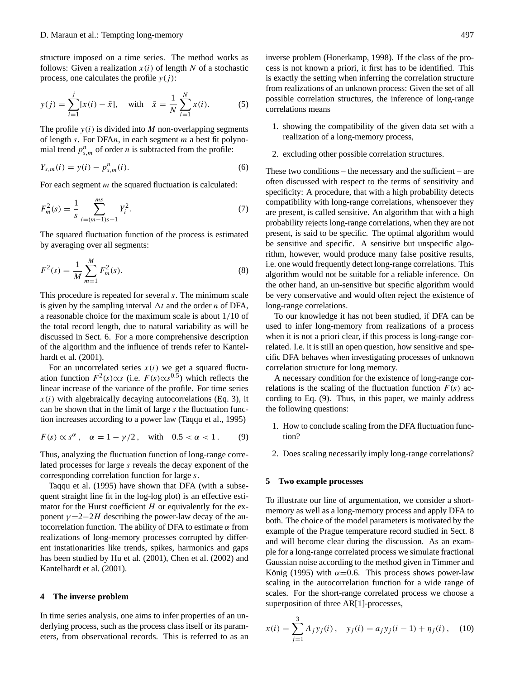structure imposed on a time series. The method works as follows: Given a realization  $x(i)$  of length N of a stochastic process, one calculates the profile  $y(j)$ :

$$
y(j) = \sum_{i=1}^{j} [x(i) - \bar{x}], \quad \text{with} \quad \bar{x} = \frac{1}{N} \sum_{i=1}^{N} x(i). \tag{5}
$$

The profile  $y(i)$  is divided into M non-overlapping segments of length s. For DFAn, in each segment  $m$  a best fit polynomial trend  $p_{s,m}^n$  of order *n* is subtracted from the profile:

$$
Y_{s,m}(i) = y(i) - p_{s,m}^n(i).
$$
 (6)

For each segment *m* the squared fluctuation is calculated:

$$
F_m^2(s) = \frac{1}{s} \sum_{i=(m-1)s+1}^{ms} Y_i^2.
$$
 (7)

The squared fluctuation function of the process is estimated by averaging over all segments:

$$
F^{2}(s) = \frac{1}{M} \sum_{m=1}^{M} F_{m}^{2}(s).
$$
 (8)

This procedure is repeated for several s. The minimum scale is given by the sampling interval  $\Delta t$  and the order n of DFA, a reasonable choice for the maximum scale is about 1/10 of the total record length, due to natural variability as will be discussed in Sect. [6.](#page-3-0) For a more comprehensive description of the algorithm and the influence of trends refer to [Kantel](#page-7-12)[hardt et al.](#page-7-12) [\(2001\)](#page-7-12).

For an uncorrelated series  $x(i)$  we get a squared fluctuation function  $F^2(s) \propto s$  (i.e.  $F(s) \propto s^{0.5}$ ) which reflects the linear increase of the variance of the profile. For time series  $x(i)$  with algebraically decaying autocorrelations (Eq. [3\)](#page-1-2), it can be shown that in the limit of large s the fluctuation function increases according to a power law [\(Taqqu et al.,](#page-8-3) [1995\)](#page-8-3)

<span id="page-2-2"></span>
$$
F(s) \propto s^{\alpha}, \quad \alpha = 1 - \gamma/2, \quad \text{with} \quad 0.5 < \alpha < 1. \tag{9}
$$

Thus, analyzing the fluctuation function of long-range correlated processes for large s reveals the decay exponent of the corresponding correlation function for large s.

[Taqqu et al.](#page-8-3) [\(1995\)](#page-8-3) have shown that DFA (with a subsequent straight line fit in the log-log plot) is an effective estimator for the Hurst coefficient  $H$  or equivalently for the exponent  $\gamma = 2 - 2H$  describing the power-law decay of the autocorrelation function. The ability of DFA to estimate  $\alpha$  from realizations of long-memory processes corrupted by different instationarities like trends, spikes, harmonics and gaps has been studied by [Hu et al.](#page-7-13) [\(2001\)](#page-7-13), [Chen et al.](#page-7-14) [\(2002\)](#page-7-14) and [Kantelhardt et al.](#page-7-12) [\(2001\)](#page-7-12).

### <span id="page-2-0"></span>**4 The inverse problem**

In time series analysis, one aims to infer properties of an underlying process, such as the process class itself or its parameters, from observational records. This is referred to as an inverse problem [\(Honerkamp,](#page-7-15) [1998\)](#page-7-15). If the class of the process is not known a priori, it first has to be identified. This is exactly the setting when inferring the correlation structure from realizations of an unknown process: Given the set of all possible correlation structures, the inference of long-range correlations means

- 1. showing the compatibility of the given data set with a realization of a long-memory process,
- 2. excluding other possible correlation structures.

These two conditions – the necessary and the sufficient – are often discussed with respect to the terms of sensitivity and specificity: A procedure, that with a high probability detects compatibility with long-range correlations, whensoever they are present, is called sensitive. An algorithm that with a high probability rejects long-range correlations, when they are not present, is said to be specific. The optimal algorithm would be sensitive and specific. A sensitive but unspecific algorithm, however, would produce many false positive results, i.e. one would frequently detect long-range correlations. This algorithm would not be suitable for a reliable inference. On the other hand, an un-sensitive but specific algorithm would be very conservative and would often reject the existence of long-range correlations.

To our knowledge it has not been studied, if DFA can be used to infer long-memory from realizations of a process when it is not a priori clear, if this process is long-range correlated. I.e. it is still an open question, how sensitive and specific DFA behaves when investigating processes of unknown correlation structure for long memory.

A necessary condition for the existence of long-range correlations is the scaling of the fluctuation function  $F(s)$  according to Eq. [\(9\)](#page-2-2). Thus, in this paper, we mainly address the following questions:

- 1. How to conclude scaling from the DFA fluctuation function?
- 2. Does scaling necessarily imply long-range correlations?

### <span id="page-2-1"></span>**5 Two example processes**

To illustrate our line of argumentation, we consider a shortmemory as well as a long-memory process and apply DFA to both. The choice of the model parameters is motivated by the example of the Prague temperature record studied in Sect. [8](#page-5-0) and will become clear during the discussion. As an example for a long-range correlated process we simulate fractional Gaussian noise according to the method given in [Timmer and](#page-8-4) König [\(1995\)](#page-8-4) with  $\alpha$ =0.6. This process shows power-law scaling in the autocorrelation function for a wide range of scales. For the short-range correlated process we choose a superposition of three AR[1]-processes,

<span id="page-2-3"></span>
$$
x(i) = \sum_{j=1}^{3} A_j y_j(i), \quad y_j(i) = a_j y_j(i-1) + \eta_j(i), \quad (10)
$$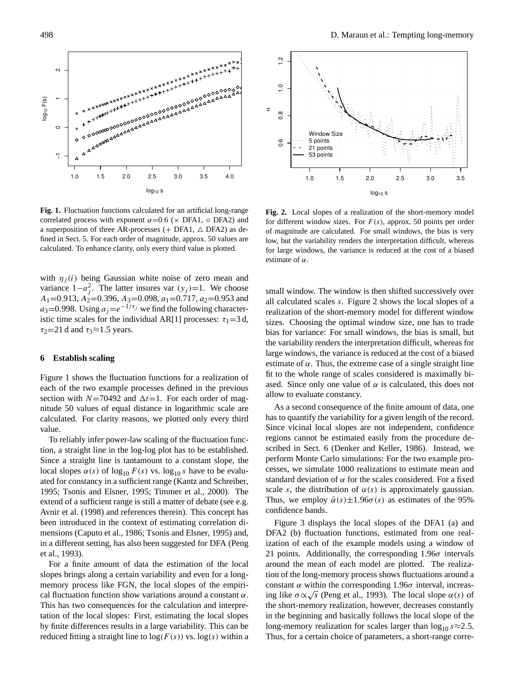

<span id="page-3-1"></span>correlated process with exponent  $\alpha$ =0.6 ( $\times$  DFA1,  $\diamond$  DFA2) and a superposition of three AR-processes (+ DFA1,  $\triangle$  DFA2) as dea superposition of three AR-processes ( $+2111$ ,  $+2111$ ) as de-<br>fined in Sect. [5.](#page-2-1) For each order of magnitude, approx. 50 values are calculated. To enhance clarity, only every third value is plotted. **Fig. 1.** Fluctuation functions calculated for an artificial long-range

with  $\eta_j(t)$  being Gaussian white hose of zero filem and<br>variance  $1-a_j^2$ . The latter insures var  $(y_j)=1$ . We choose tion, a straight line in the log-log plot has to be established. A1=0.913, A2=0.396, A3=0.098, a1=0.717, a2=0.953 and calculated. To enhance clarity, only every third value is plotted.  $a_3=0.998$ . Using  $a_j=e^{-1/\tau_j}$  we find the following characterlocal slopes  $\frac{1}{2}$  F(s)  $\frac{1}{2}$  is the individual AR[1] processes: τ<sub>1</sub>=3 d,  $\tau_2$ =21 d and  $\tau_3 \approx 1.5$  years. 1995; Tsonis and Elsner, 1995; Timmer et al., 2000). The with  $\eta_j(i)$  being Gaussian white noise of zero mean and variance  $f - a_j$ . The factor insures var  $(y_j) = 1$ , we choose

# <span id="page-3-0"></span>**6 Establish scaling**

has been introduced in the context of estimating correlation Figure [1](#page-3-1) shows the fluctuation functions for a realization of Figure 1 shows the mactuation runctions for a realization of each of the two example processes defined in the previous section with  $N = 70492$  and  $\Delta t = 1$ . For each order of magnitude 50 values of equal distance in logarithmic scale are readed so variable of equal distance in togarithmic scare are<br>culated. For clarity reasons, we plotted only every third calculated. For clarity reasons, we plotted only every third<br>value section with  $N=70492$  and  $\Delta t=1$ . For each order of magvalue. value.

To reliably infer power-law scaling of the fluctuation function, a straight line in the log-log plot has to be established. Since a straight line is tantamount to a constant slope, the local slopes  $\alpha(s)$  of log<sub>10</sub> F(s) vs. log<sub>10</sub> s have to be evalu-ated for constancy in a sufficient range [\(Kantz and Schreiber,](#page-7-16) [1995;](#page-8-5) [Tsonis and Elsner,](#page-8-5) 1995; [Timmer et al.,](#page-8-6) [2000\)](#page-8-6). The extend of a sufficient range is still a matter of debate (see e.g.)<br>Applied al. (1009) and informate therein). This appears has [Avnir et al.](#page-7-17) [\(1998\)](#page-7-17) and references therein). This concept has EXVIII et al. (1996) and references increments. This concept has been introduced in the context of estimating correlation di-mensions [\(Caputo et al.,](#page-7-18) [1986;](#page-7-18) [Tsonis and Elsner,](#page-8-5) [1995\)](#page-8-5) and, in a different setting, has also been suggested for DFA [\(Peng](#page-7-5) [et al.,](#page-7-5) [1993\)](#page-7-5).

For a finite amount of data the estimation of the local slopes brings along a certain variability and even for a longmemory process like FGN, the local slopes of the empirical fluctuation function show variations around a constant  $\alpha$ . This has two consequences for the calculation and interpretation of the local slopes: First, estimating the local slopes by finite differences results in a large variability. This can be reduced fitting a straight line to  $log(F(s))$  vs.  $log(s)$  within a



<span id="page-3-2"></span>Fig. 2. Local slopes of a realization of the short-memory model **Fig. 2.** Local slopes of a realization of the short-memory model for different window sizes. For  $F(s)$ , approx. 50 points per order estimate of α. for different window sizes. For F(s), approx. 50 points per order of magnitude are calculated. For small windows, the bias is very for large windows, the variance is reduced at the cost of a biased has the variability for a given length of  $\alpha$ . low, but the variability renders the interpretation difficult, whereas  $\epsilon$  estimate of  $\alpha$ .

small window. The window is then shifted successively over all calculated scales s. Figure 2 shows the local slopes of a  $\frac{1}{2}$ realization of the short-memory model for different window s. Choosing the optimal window size, one has to trade of δ (basilon variability renders the interpretation difficult, whereas for the variability renders the interpretation difficult, whereas for the variability relates the interpretation difficult, whereas for large windows, the variance is reduced at the cost of a biased estimate of α. Thus, the extreme case of a single straight line fit to the whole range of scales considered is maximally biased. Since only one value of  $\alpha$  is calculated, this does not allow to evaluate constancy. Feanzation of the short-memory model for different window<br>sizes. Choosing the optimal window size, one has to trade sizes. Choosing the optimated window size, one has to that bias for variance: For small windows, the bias is small, but

As a second consequence of the finite amount of data, one has to quantify the variability for a given length of the record. Since vicinal local slopes are not independent, confidence regions cannot be estimated easily from the procedure de-regions earnor be estimated easily from the procedure as<br>scribed in Sect. 6 [\(Denker and Keller,](#page-7-19) [1986\)](#page-7-19). Instead, we perform Monte Carlo simulations: For the two example processes, we simulate 1000 realizations to estimate mean and standard deviation of  $\alpha$  for the scales considered. For a fixed standard deviation of  $\alpha$  for the scales considered. For a fixed Thus, we employ  $\bar{\alpha}(s) \pm 1.96\sigma(s)$  as estimates of the 95% scale s, the distribution of  $\alpha(s)$  is approximately gaussian. Thus, we employ  $\bar{\alpha}(s) \pm 1.96\sigma(s)$  as estimates of the 95% confidence bands confidence bands.

Figure [3](#page-4-1) displays the local slopes of the DFA1 (a) and  $DFA2$  (b) fluctuation functions, estimated from one realization of each of the example models using a window of 21 points. Additionally, the corresponding  $1.96\sigma$  intervals around the mean of each model are plotted. The realization of the long-memory process shows fluctuations around a constant  $\alpha$  within the corresponding 1.96 $\sigma$  interval, increasing like  $\sigma \propto \sqrt{s}$  [\(Peng et al.,](#page-7-5) [1993\)](#page-7-5). The local slope  $\alpha(s)$  of the short-memory realization, however, decreases constantly in the beginning and basically follows the local slope of the long-memory realization for scales larger than  $\log_{10} s \approx 2.5$ . Thus, for a certain choice of parameters, a short-range corre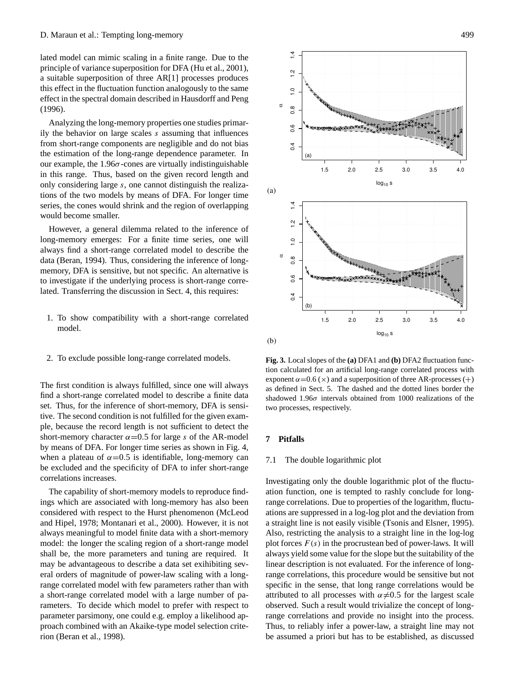lated model can mimic scaling in a finite range. Due to the principle of variance superposition for DFA [\(Hu et al.,](#page-7-13) [2001\)](#page-7-13), a suitable superposition of three AR[1] processes produces this effect in the fluctuation function analogously to the same effect in the spectral domain described in [Hausdorff and Peng](#page-7-20) [\(1996\)](#page-7-20).

Analyzing the long-memory properties one studies primarily the behavior on large scales s assuming that influences from short-range components are negligible and do not bias the estimation of the long-range dependence parameter. In our example, the  $1.96\sigma$ -cones are virtually indistinguishable in this range. Thus, based on the given record length and only considering large s, one cannot distinguish the realizations of the two models by means of DFA. For longer time series, the cones would shrink and the region of overlapping would become smaller.

However, a general dilemma related to the inference of long-memory emerges: For a finite time series, one will always find a short-range correlated model to describe the data [\(Beran,](#page-7-8) [1994\)](#page-7-8). Thus, considering the inference of longmemory, DFA is sensitive, but not specific. An alternative is to investigate if the underlying process is short-range correlated. Transferring the discussion in Sect. [4,](#page-2-0) this requires:

- 1. To show compatibility with a short-range correlated model.
- 2. To exclude possible long-range correlated models.

The first condition is always fulfilled, since one will always find a short-range correlated model to describe a finite data set. Thus, for the inference of short-memory, DFA is sensitive. The second condition is not fulfilled for the given example, because the record length is not sufficient to detect the short-memory character  $\alpha$ =0.5 for large s of the AR-model by means of DFA. For longer time series as shown in Fig. [4,](#page-5-1) when a plateau of  $\alpha$ =0.5 is identifiable, long-memory can be excluded and the specificity of DFA to infer short-range correlations increases.

The capability of short-memory models to reproduce findings which are associated with long-memory has also been considered with respect to the Hurst phenomenon [\(McLeod](#page-7-21) [and Hipel,](#page-7-21) [1978;](#page-7-21) [Montanari et al.,](#page-7-22) [2000\)](#page-7-22). However, it is not always meaningful to model finite data with a short-memory model: the longer the scaling region of a short-range model shall be, the more parameters and tuning are required. It may be advantageous to describe a data set exihibiting several orders of magnitude of power-law scaling with a longrange correlated model with few parameters rather than with a short-range correlated model with a large number of parameters. To decide which model to prefer with respect to parameter parsimony, one could e.g. employ a likelihood approach combined with an Akaike-type model selection criterion [\(Beran et al.,](#page-7-23) [1998\)](#page-7-23).



<span id="page-4-1"></span>**Fig. 3.** Local slopes of the (a) DFA1 and (b) DFA2 fluctuation func-**Fig. 3.** Local slopes of the **(a)** DFA1 and **(b)** DFA2 fluctuation function calculated for an artificial long-range correlated process with tion calculated for an artificial long-range correlated process with exponent  $\alpha$  = 0.6 ( $\times$ ) and a superposition of three AR-processes (+) as defined in [Se](#page-2-1)ct. 5. The dashed and the dotted lines border the shadowed 1.96 $\sigma$  intervals obtained from 1000 realizations of the two processes, respectively.

# <span id="page-4-0"></span>Thus, for a certain choice of parameters, a short-range corre-**7 Pitfalls**

### 7.1 The double logarithmic plot  $\mathcal{L}$  superposition of the AR[1] produces produces produces produces produces produces produces produces produces produces  $\mathcal{L}$

Investigating only the double logarithmic plot of the fluctuation function, one is tempted to rashly conclude for longrange correlations. Due to properties of the logarithm, fluctuations are suppressed in a log-log plot and the deviation from a straight line is not easily visible [\(Tsonis and Elsner,](#page-8-5) [1995\)](#page-8-5). Also, restricting the analysis to a straight line in the log-log plot forces  $F(s)$  in the procrustean bed of power-laws. It will always yield some value for the slope but the suitability of the linear description is not evaluated. For the inference of longrange correlations, this procedure would be sensitive but not specific in the sense, that long range correlations would be attributed to all processes with  $\alpha \neq 0.5$  for the largest scale observed. Such a result would trivialize the concept of longrange correlations and provide no insight into the process. Thus, to reliably infer a power-law, a straight line may not be assumed a priori but has to be established, as discussed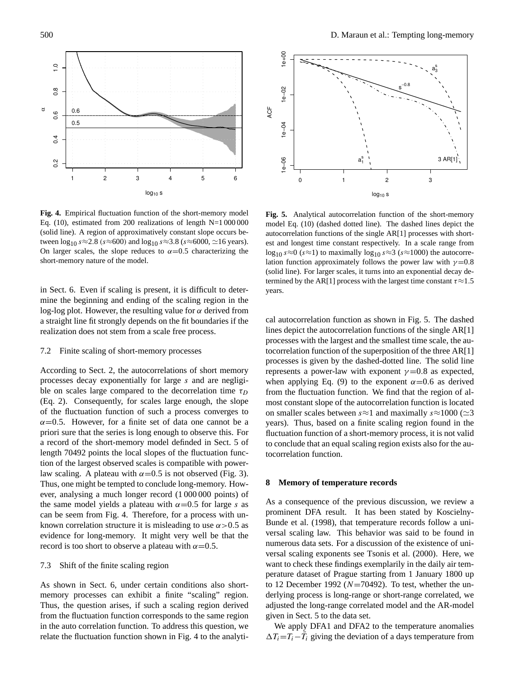

<span id="page-5-1"></span>Eq. [\(10\)](#page-2-3), estimated from 200 realizations of length  $N=1000000$ Lq. (10), estimated from 200 realizations of length N=1,000,000 (solid line). A region of approximatively constant slope occurs between  $\log_{10} s \approx 2.8$  (s≈600) and  $\log_{10} s \approx 3.8$  (s≈6000,  $\simeq$ 16 years). On larger scales, the slope reduces to  $\alpha$ =0.5 characterizing the short-memory nature of the model. Fig. 4. Empirical fluctuation function of the short-memory model Fig.  $\bullet$ . Empirical nucleation function of the short-memory model<br>Eq. (10), estimated from 200 mediantions of largely  $N=1,000,000$ 

mine the beginning and ending of the scaling region in the a straight line fit strongly depends on the fit boundaries if the realization does not stem from a scale free process. in Sect. [6.](#page-3-0) Even if scaling is present, it is difficult to deterlog-log plot. However, the resulting value for  $α$  derived from as evidence for long-memory. It is difficult to determine the that the that the that the that the theory were the the

## <span id="page-5-3"></span> $\sigma$   $\alpha$  . Finite arises, if such a scaling region derived region derived 7.2 Finite scaling of short-memory processes

According to Sect. [2,](#page-1-0) the autocorrelations of short memory processes decay exponentially for large  $s$  and are negligible on scales large compared to the decorrelation time  $\tau_D$ (Eq. 2). Consequently, for scales large enough, the slope of the fluctuation function of such a process converges to  $\alpha$ =0.5. However, for a finite set of data one cannot be a priori sure that the series is long enough to observe this. For a record of the short-memory model definded in Sect. [5](#page-2-1) of length 70492 points the local slopes of the fluctuation function of the largest observed scales is compatible with powerlaw scaling. A plateau with  $\alpha$ =0.5 is not observed (Fig. [3\)](#page-4-1). Thus, one might be tempted to conclude long-memory. However, analysing a much longer record (1 000 000 points) of the same model yields a plateau with  $\alpha$ =0.5 for large s as can be seem from Fig. [4.](#page-5-1) Therefore, for a process with unknown correlation structure it is misleading to use  $\alpha$  > 0.5 as evidence for long-memory. It might very well be that the record is too short to observe a plateau with  $\alpha$  = 0.5.  $7.4$  or  $1.6$  or  $x_i$  or

### 7.3 Shift of the finite scaling region

As shown in Sect. [6,](#page-3-0) under certain conditions also shortmemory processes can exhibit a finite "scaling" region. Thus, the question arises, if such a scaling region derived Thus, the question arises, if such a scaling region derived<br>from the fluctuation function corresponds to the same region in the auto correlation function. To address this question, we relate the fluctuation function shown in Fig. 4 to the analyti-



<span id="page-5-2"></span>Fig. 5. Analytical autocorrelation function of the short-memory autocorrelation functions of the single AR[1] processes with shortest and longest time constant respectively. In a scale range from  $\log_{10} s \approx 0$  (s≈1) to maximally  $\log_{10} s \approx 3$  (s≈1000) the autocorreration function approximately follows the power law with  $\gamma = 0.6$  (solid line). For larger scales, it turns into an exponential decay de-(solid line). For larger scales, it turns into an exponential decay as<br>termined by the AR[1] process with the largest time constant  $\tau \approx 1.5$  $s_n$ model Eq. [\(10\)](#page-2-3) (dashed dotted line). The dashed lines depict the lation function approximately follows the power law with  $\gamma$ =0.8  $\gamma$  decay decay decay decay decay decay  $\alpha$ years.

cal autocorrelation function as shown in Fig. [5.](#page-5-2) The dashed lines depict the autocorrelation functions of the single  $AR[1]$ processes with the largest and the smallest time scale, the au-<br>the smallest in  $\mathcal{S}$  the smallest time scale, the auprocesses is given by the dashed-dotted line. The solid line represents a power-law with exponent  $γ = 0.8$  as expected, tepresents a power-law with exponent  $\gamma$  =0.6 as expected,<br>when applying Eq. [\(9\)](#page-2-2) to the exponent α=0.6 as derived from the fluctuation function. We find that the region of almost constant slope of the autocorrelation function is located tocorrelation function of the superposition of the three  $AR[1]$ <br>tocorrelation function of the superposition of the three  $AR[1]$ on smaller scales between  $s \approx 1$  and maximally  $s \approx 1000$  ( $\simeq 3$ ) years). Thus, based on a finite scaling region found in the fluctuation function of a short-memory process, it is not valid to conclude that an equal scaling region exists also for the autocorrelation function.

# <span id="page-5-0"></span>**8 Memory of Temperature Records 8 Memory of temperature records**

As a consequence of the previous discussion, we review a consequence of the previous discussion, we review a prominent DFA result. It has been stated by Koscienty-<br>[Bunde et al.](#page-7-2) [\(1998\)](#page-7-2), that temperature records follow a uni-Bunde et al. (1998), that temperature records follow a univer-versal scaling law. This behavior was said to be found in numerous data sets. For a discussion of the existence of unious data sets. For a discussion of the existence of universal versal scaling exponents see [Tsonis et al.](#page-8-7) [\(2000\)](#page-8-7). Here, we want to check these findings exemplarily in the daily air temperature dataset of Prague starting from 1 January 1800 up to 12 December 1992 ( $N=70492$ ). To test, whether the underlying process is long-range or short-range correlated, we adjusted the long-range correlated model and the AR-model given in Sect. 5 to the data set. prominent DFA result. It has been stated by [Koscielny-](#page-7-2)

We apply DFA1 and DFA2 to the temperature anomalies  $\Delta T_i = T_i - \overline{T}_i$  giving the deviation of a days temperature from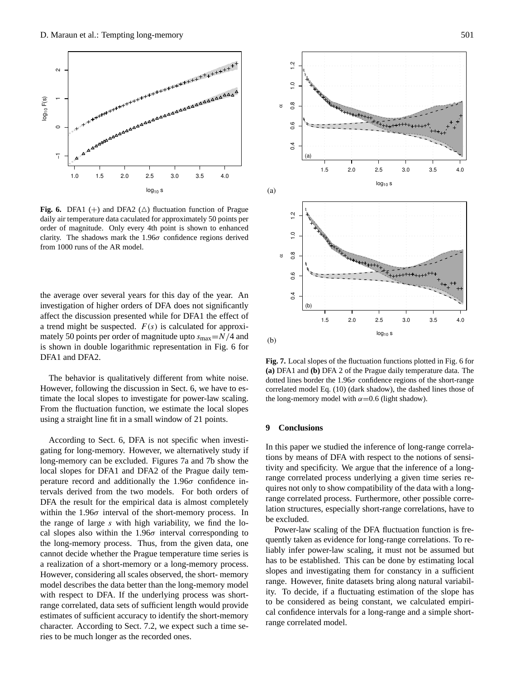

<span id="page-6-0"></span>daily air temperature data caculated for approximately 50 points per order of magnitude. Only every 4th point is shown to enhanced clarity. The shadows mark the 1.96 $\sigma$  confidence regions derived from 1000 runs of the AR model. **Fig. 6.** DFA1 (+) and DFA2 ( $\triangle$ ) fluctuation function of Prague

the average over several years for this day of the year. An investigation of higher orders of DFA does not significantly<br>investigation of higher orders of DFA does not significantly affect the discussion presented while for DFA1 the effect of  $\frac{1}{2}$ a tiend might be suspected.  $P(3)$  is calculated for approximately 50 points per order of magnitude upto  $s_{\text{max}} = N/4$  and  $\frac{1}{2}$  for long-memory. However, we alternatively study  $\frac{1}{2}$  for  $\frac{1}{2}$  for  $\frac{1}{2}$  for  $\frac{1}{2}$  for  $\frac{1}{2}$  for  $\frac{1}{2}$  for  $\frac{1}{2}$  for  $\frac{1}{2}$  for  $\frac{1}{2}$  for  $\frac{1}{2}$  for  $\frac{1}{2}$  for  $\frac{1}{2}$ is shown in double logarithmic representation in Fig. 6 for<br>DEA1 and DEA2 a trend might be suspected.  $F(s)$  is calculated for approxi- $DFA1$  and  $DFA2$ .  $f_{\text{c}}$  of  $f_{\text{c}}$  and  $f_{\text{c}}$  and  $f_{\text{c}}$  and  $f_{\text{c}}$ 

The behavior is qualitatively different from white noise. However, following the discussion in Sect. [6,](#page-3-0) we have to estimate the local slopes to investigate for power-law scaling. From the fluctuation function, we estimate the local slopes using a straight line fit in a small window of 21 points. The behavior is qualitatively different from white noise.

According to Sect. 6, DFA is not specific when investigating for long-memory. However, we alternatively study if [lo](#page-6-1)ng-memory can be excluded. Figures 7a and [7b](#page-6-1) show the local slopes for DFA1 and DFA2 of the Prague daily temperature record and additionally the 1.96 $\sigma$  confidence intervals derived from the two models. For both orders of DFA the result for the empirical data is almost completely<br>a realization of a short-memory provided with the empirical data is almost completely whilm the 1.500 interval of the short-memory process. In the range of large s with high variability, we find the locharacter. The section of the unit matter is cal slopes also within the  $1.96\sigma$  interval corresponding to the long-memory process. Thus, from the given data, one a realization of a short-memory or a long-memory process. model describes the data better than the long-memory model with respect to DFA. If the underlying process was shortwithin the  $1.96\sigma$  interval of the short-memory process. In cannot decide whether the Prague temperature time series is However, considering all scales observed, the short- memory range correlated, data sets of sufficient length would provide estimates of sufficient accuracy to identify the short-memory character. According to Sect. [7.2,](#page-5-3) we expect such a time series to be much longer as the recorded ones.



<span id="page-6-1"></span>dotted lines border the 1.96 $\sigma$  confidence regions of the short-range correlated model Eq. [\(10\)](#page-2-3) (dark shadow), the dashed lines those of the long-memory model with  $\alpha$  = 0.6 (light shadow). Fig. 7. Local slopes of the fluctuation functions plotted in Fig. [6](#page-6-0) for (a) DFA1 and (b) DFA 2 of the Prague daily temperature data. The **(a)** DFA1 and **(b)** DFA 2 of the Prague daily temperature data. The

### lation structures, especially short-range correlations, have to tivity and specificity. We argue that the inference of a long-**9 Conclusions** be excluded.

In this paper we studied the inference of long-range correlations by means of DFA with respect to the notions of sensitivity and specificity. We argue that the inference of a longrange correlated process underlying a given time series requires not only to show compatibility of the data with a longrange correlated process. Furthermore, other possible correlation structures, especially short-range correlations, have to  $t$  be considered as being constant, we calculate  $t$  as being constant, we calculate  $t$ be excluded.

Power-law scaling of the DFA fluctuation function is frequently taken as evidence for long-range correlations. To rehas to be established. This can be done by estimating local has to be established. This can be done by estimating four range. However, finite datasets bring along natural variability. To decide, if a fluctuating estimation of the slope has to be considered as being constant, we calculated empiriliably infer power-law scaling, it must not be assumed but cal confidence intervals for a long-range and a simple shortrange correlated model.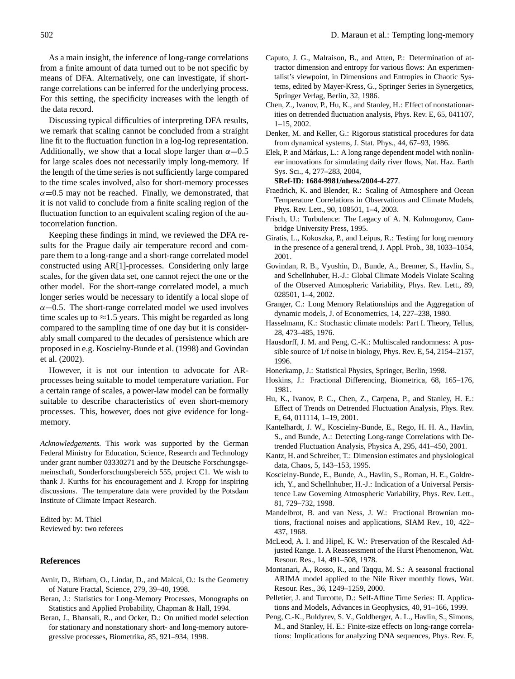As a main insight, the inference of long-range correlations from a finite amount of data turned out to be not specific by means of DFA. Alternatively, one can investigate, if shortrange correlations can be inferred for the underlying process. For this setting, the specificity increases with the length of the data record.

Discussing typical difficulties of interpreting DFA results, we remark that scaling cannot be concluded from a straight line fit to the fluctuation function in a log-log representation. Additionally, we show that a local slope larger than  $\alpha = 0.5$ for large scales does not necessarily imply long-memory. If the length of the time series is not sufficiently large compared to the time scales involved, also for short-memory processes  $\alpha$ =0.5 may not be reached. Finally, we demonstrated, that it is not valid to conclude from a finite scaling region of the fluctuation function to an equivalent scaling region of the autocorrelation function.

Keeping these findings in mind, we reviewed the DFA results for the Prague daily air temperature record and compare them to a long-range and a short-range correlated model constructed using AR[1]-processes. Considering only large scales, for the given data set, one cannot reject the one or the other model. For the short-range correlated model, a much longer series would be necessary to identify a local slope of  $\alpha$ =0.5. The short-range correlated model we used involves time scales up to  $\approx$ 1.5 years. This might be regarded as long compared to the sampling time of one day but it is considerably small compared to the decades of persistence which are proposed in e.g. [Koscielny-Bunde et al.](#page-7-2) [\(1998\)](#page-7-2) and [Govindan](#page-7-3) [et al.](#page-7-3) [\(2002\)](#page-7-3).

However, it is not our intention to advocate for ARprocesses being suitable to model temperature variation. For a certain range of scales, a power-law model can be formally suitable to describe characteristics of even short-memory processes. This, however, does not give evidence for longmemory.

*Acknowledgements.* This work was supported by the German Federal Ministry for Education, Science, Research and Technology under grant number 03330271 and by the Deutsche Forschungsgemeinschaft, Sonderforschungsbereich 555, project C1. We wish to thank J. Kurths for his encouragement and J. Kropp for inspiring discussions. The temperature data were provided by the Potsdam Institute of Climate Impact Research.

Edited by: M. Thiel Reviewed by: two referees

### **References**

- <span id="page-7-17"></span>Avnir, D., Birham, O., Lindar, D., and Malcai, O.: Is the Geometry of Nature Fractal, Science, 279, 39–40, 1998.
- <span id="page-7-8"></span>Beran, J.: Statistics for Long-Memory Processes, Monographs on Statistics and Applied Probability, Chapman & Hall, 1994.
- <span id="page-7-23"></span>Beran, J., Bhansali, R., and Ocker, D.: On unified model selection for stationary and nonstationary short- and long-memory autoregressive processes, Biometrika, 85, 921–934, 1998.
- <span id="page-7-18"></span>Caputo, J. G., Malraison, B., and Atten, P.: Determination of attractor dimension and entropy for various flows: An experimentalist's viewpoint, in Dimensions and Entropies in Chaotic Systems, edited by Mayer-Kress, G., Springer Series in Synergetics, Springer Verlag, Berlin, 32, 1986.
- <span id="page-7-14"></span>Chen, Z., Ivanov, P., Hu, K., and Stanley, H.: Effect of nonstationarities on detrended fluctuation analysis, Phys. Rev. E, 65, 041107, 1–15, 2002.
- <span id="page-7-19"></span>Denker, M. and Keller, G.: Rigorous statistical procedures for data from dynamical systems, J. Stat. Phys., 44, 67–93, 1986.
- <span id="page-7-11"></span>Elek, P. and Márkus, L.: A long range dependent model with nonlinear innovations for simulating daily river flows, Nat. Haz. Earth Sys. Sci., 4, 277–283, 2004,

```
SRef-ID: 1684-9981/nhess/2004-4-277.
```
- <span id="page-7-4"></span>Fraedrich, K. and Blender, R.: Scaling of Atmosphere and Ocean Temperature Correlations in Observations and Climate Models, Phys. Rev. Lett., 90, 108501, 1–4, 2003.
- <span id="page-7-6"></span>Frisch, U.: Turbulence: The Legacy of A. N. Kolmogorov, Cambridge University Press, 1995.
- Giratis, L., Kokoszka, P., and Leipus, R.: Testing for long memory in the presence of a general trend, J. Appl. Prob., 38, 1033–1054, 2001.
- <span id="page-7-3"></span>Govindan, R. B., Vyushin, D., Bunde, A., Brenner, S., Havlin, S., and Schellnhuber, H.-J.: Global Climate Models Violate Scaling of the Observed Atmospheric Variability, Phys. Rev. Lett., 89, 028501, 1–4, 2002.
- <span id="page-7-9"></span>Granger, C.: Long Memory Relationships and the Aggregation of dynamic models, J. of Econometrics, 14, 227–238, 1980.
- <span id="page-7-0"></span>Hasselmann, K.: Stochastic climate models: Part I. Theory, Tellus, 28, 473–485, 1976.
- <span id="page-7-20"></span>Hausdorff, J. M. and Peng, C.-K.: Multiscaled randomness: A possible source of 1/f noise in biology, Phys. Rev. E, 54, 2154–2157, 1996.
- Honerkamp, J.: Statistical Physics, Springer, Berlin, 1998.
- <span id="page-7-15"></span><span id="page-7-10"></span>Hoskins, J.: Fractional Differencing, Biometrica, 68, 165–176, 1981.
- <span id="page-7-13"></span>Hu, K., Ivanov, P. C., Chen, Z., Carpena, P., and Stanley, H. E.: Effect of Trends on Detrended Fluctuation Analysis, Phys. Rev. E, 64, 011114, 1–19, 2001.
- <span id="page-7-12"></span>Kantelhardt, J. W., Koscielny-Bunde, E., Rego, H. H. A., Havlin, S., and Bunde, A.: Detecting Long-range Correlations with Detrended Fluctuation Analysis, Physica A, 295, 441–450, 2001.
- <span id="page-7-16"></span>Kantz, H. and Schreiber, T.: Dimension estimates and physiological data, Chaos, 5, 143–153, 1995.
- <span id="page-7-2"></span>Koscielny-Bunde, E., Bunde, A., Havlin, S., Roman, H. E., Goldreich, Y., and Schellnhuber, H.-J.: Indication of a Universal Persistence Law Governing Atmospheric Variability, Phys. Rev. Lett., 81, 729–732, 1998.
- <span id="page-7-7"></span>Mandelbrot, B. and van Ness, J. W.: Fractional Brownian motions, fractional noises and applications, SIAM Rev., 10, 422– 437, 1968.
- <span id="page-7-21"></span>McLeod, A. I. and Hipel, K. W.: Preservation of the Rescaled Adjusted Range. 1. A Reassessment of the Hurst Phenomenon, Wat. Resour. Res., 14, 491–508, 1978.
- <span id="page-7-22"></span>Montanari, A., Rosso, R., and Taqqu, M. S.: A seasonal fractional ARIMA model applied to the Nile River monthly flows, Wat. Resour. Res., 36, 1249–1259, 2000.
- <span id="page-7-1"></span>Pelletier, J. and Turcotte, D.: Self-Affine Time Series: II. Applications and Models, Advances in Geophysics, 40, 91–166, 1999.
- <span id="page-7-5"></span>Peng, C.-K., Buldyrev, S. V., Goldberger, A. L., Havlin, S., Simons, M., and Stanley, H. E.: Finite-size effects on long-range correlations: Implications for analyzing DNA sequences, Phys. Rev. E,